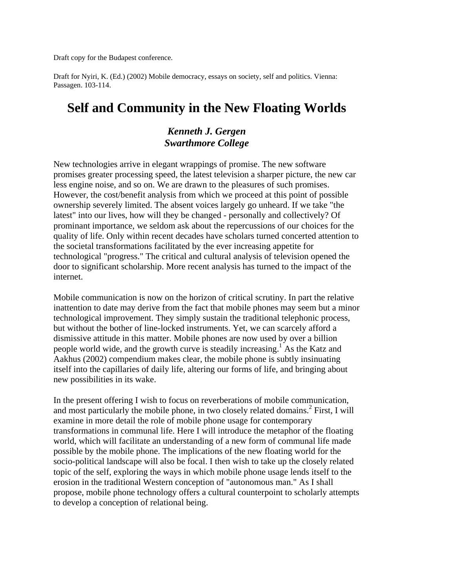Draft copy for the Budapest conference.

Draft for Nyiri, K. (Ed.) (2002) Mobile democracy, essays on society, self and politics. Vienna: Passagen. 103-114.

# **Self and Community in the New Floating Worlds**

## *Kenneth J. Gergen Swarthmore College*

New technologies arrive in elegant wrappings of promise. The new software promises greater processing speed, the latest television a sharper picture, the new car less engine noise, and so on. We are drawn to the pleasures of such promises. However, the cost/benefit analysis from which we proceed at this point of possible ownership severely limited. The absent voices largely go unheard. If we take "the latest" into our lives, how will they be changed - personally and collectively? Of prominant importance, we seldom ask about the repercussions of our choices for the quality of life. Only within recent decades have scholars turned concerted attention to the societal transformations facilitated by the ever increasing appetite for technological "progress." The critical and cultural analysis of television opened the door to significant scholarship. More recent analysis has turned to the impact of the internet.

Mobile communication is now on the horizon of critical scrutiny. In part the relative inattention to date may derive from the fact that mobile phones may seem but a minor technological improvement. They simply sustain the traditional telephonic process, but without the bother of line-locked instruments. Yet, we can scarcely afford a dismissive attitude in this matter. Mobile phones are now used by over a billion people world wide, and the growth curve is steadily increasing.<sup>1</sup> As the Katz and Aakhus (2002) compendium makes clear, the mobile phone is subtly insinuating itself into the capillaries of daily life, altering our forms of life, and bringing about new possibilities in its wake.

In the present offering I wish to focus on reverberations of mobile communication, and most particularly the mobile phone, in two closely related domains.<sup>2</sup> First, I will examine in more detail the role of mobile phone usage for contemporary transformations in communal life. Here I will introduce the metaphor of the floating world, which will facilitate an understanding of a new form of communal life made possible by the mobile phone. The implications of the new floating world for the socio-political landscape will also be focal. I then wish to take up the closely related topic of the self, exploring the ways in which mobile phone usage lends itself to the erosion in the traditional Western conception of "autonomous man." As I shall propose, mobile phone technology offers a cultural counterpoint to scholarly attempts to develop a conception of relational being.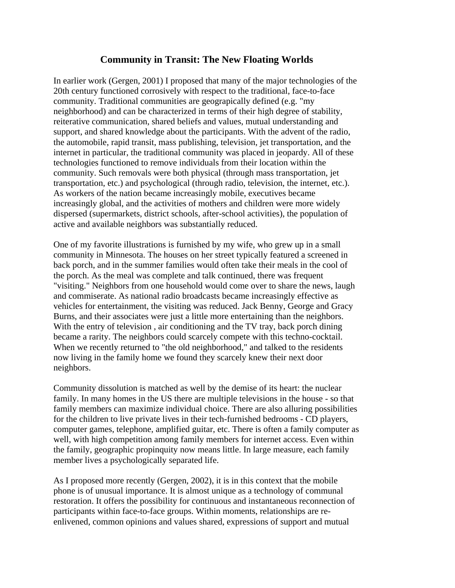## **Community in Transit: The New Floating Worlds**

In earlier work (Gergen, 2001) I proposed that many of the major technologies of the 20th century functioned corrosively with respect to the traditional, face-to-face community. Traditional communities are geograpically defined (e.g. "my neighborhood) and can be characterized in terms of their high degree of stability, reiterative communication, shared beliefs and values, mutual understanding and support, and shared knowledge about the participants. With the advent of the radio, the automobile, rapid transit, mass publishing, television, jet transportation, and the internet in particular, the traditional community was placed in jeopardy. All of these technologies functioned to remove individuals from their location within the community. Such removals were both physical (through mass transportation, jet transportation, etc.) and psychological (through radio, television, the internet, etc.). As workers of the nation became increasingly mobile, executives became increasingly global, and the activities of mothers and children were more widely dispersed (supermarkets, district schools, after-school activities), the population of active and available neighbors was substantially reduced.

One of my favorite illustrations is furnished by my wife, who grew up in a small community in Minnesota. The houses on her street typically featured a screened in back porch, and in the summer families would often take their meals in the cool of the porch. As the meal was complete and talk continued, there was frequent "visiting." Neighbors from one household would come over to share the news, laugh and commiserate. As national radio broadcasts became increasingly effective as vehicles for entertainment, the visiting was reduced. Jack Benny, George and Gracy Burns, and their associates were just a little more entertaining than the neighbors. With the entry of television, air conditioning and the TV tray, back porch dining became a rarity. The neighbors could scarcely compete with this techno-cocktail. When we recently returned to "the old neighborhood," and talked to the residents now living in the family home we found they scarcely knew their next door neighbors.

Community dissolution is matched as well by the demise of its heart: the nuclear family. In many homes in the US there are multiple televisions in the house - so that family members can maximize individual choice. There are also alluring possibilities for the children to live private lives in their tech-furnished bedrooms - CD players, computer games, telephone, amplified guitar, etc. There is often a family computer as well, with high competition among family members for internet access. Even within the family, geographic propinquity now means little. In large measure, each family member lives a psychologically separated life.

As I proposed more recently (Gergen, 2002), it is in this context that the mobile phone is of unusual importance. It is almost unique as a technology of communal restoration. It offers the possibility for continuous and instantaneous reconnection of participants within face-to-face groups. Within moments, relationships are reenlivened, common opinions and values shared, expressions of support and mutual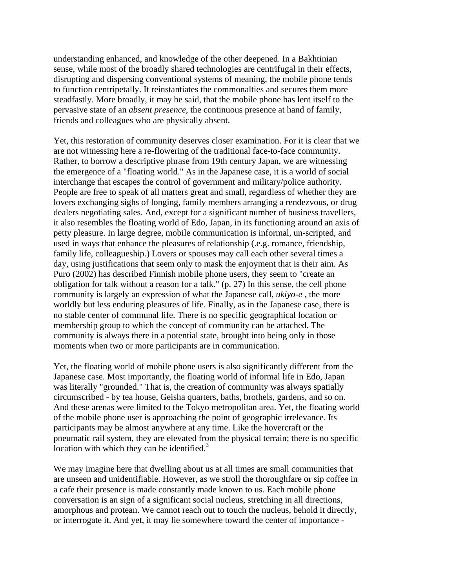understanding enhanced, and knowledge of the other deepened. In a Bakhtinian sense, while most of the broadly shared technologies are centrifugal in their effects, disrupting and dispersing conventional systems of meaning, the mobile phone tends to function centripetally. It reinstantiates the commonalties and secures them more steadfastly. More broadly, it may be said, that the mobile phone has lent itself to the pervasive state of an *absent presence*, the continuous presence at hand of family, friends and colleagues who are physically absent.

Yet, this restoration of community deserves closer examination. For it is clear that we are not witnessing here a re-flowering of the traditional face-to-face community. Rather, to borrow a descriptive phrase from 19th century Japan, we are witnessing the emergence of a "floating world." As in the Japanese case, it is a world of social interchange that escapes the control of government and military/police authority. People are free to speak of all matters great and small, regardless of whether they are lovers exchanging sighs of longing, family members arranging a rendezvous, or drug dealers negotiating sales. And, except for a significant number of business travellers, it also resembles the floating world of Edo, Japan, in its functioning around an axis of petty pleasure. In large degree, mobile communication is informal, un-scripted, and used in ways that enhance the pleasures of relationship (.e.g. romance, friendship, family life, colleagueship.) Lovers or spouses may call each other several times a day, using justifications that seem only to mask the enjoyment that is their aim. As Puro (2002) has described Finnish mobile phone users, they seem to "create an obligation for talk without a reason for a talk." (p. 27) In this sense, the cell phone community is largely an expression of what the Japanese call, *ukiyo-e* , the more worldly but less enduring pleasures of life. Finally, as in the Japanese case, there is no stable center of communal life. There is no specific geographical location or membership group to which the concept of community can be attached. The community is always there in a potential state, brought into being only in those moments when two or more participants are in communication.

Yet, the floating world of mobile phone users is also significantly different from the Japanese case. Most importantly, the floating world of informal life in Edo, Japan was literally "grounded." That is, the creation of community was always spatially circumscribed - by tea house, Geisha quarters, baths, brothels, gardens, and so on. And these arenas were limited to the Tokyo metropolitan area. Yet, the floating world of the mobile phone user is approaching the point of geographic irrelevance. Its participants may be almost anywhere at any time. Like the hovercraft or the pneumatic rail system, they are elevated from the physical terrain; there is no specific location with which they can be identified. $3$ 

We may imagine here that dwelling about us at all times are small communities that are unseen and unidentifiable. However, as we stroll the thoroughfare or sip coffee in a cafe their presence is made constantly made known to us. Each mobile phone conversation is an sign of a significant social nucleus, stretching in all directions, amorphous and protean. We cannot reach out to touch the nucleus, behold it directly, or interrogate it. And yet, it may lie somewhere toward the center of importance -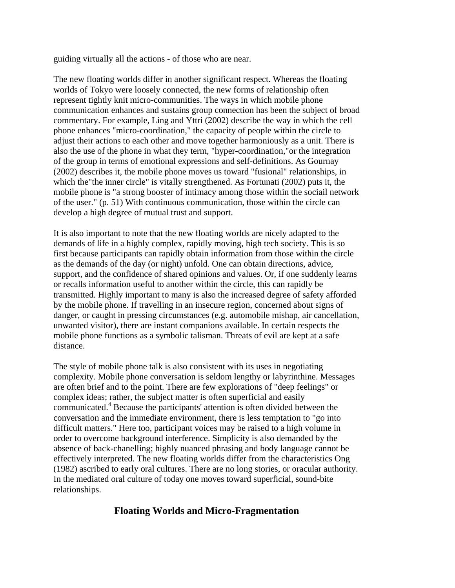guiding virtually all the actions - of those who are near.

The new floating worlds differ in another significant respect. Whereas the floating worlds of Tokyo were loosely connected, the new forms of relationship often represent tightly knit micro-communities. The ways in which mobile phone communication enhances and sustains group connection has been the subject of broad commentary. For example, Ling and Yttri (2002) describe the way in which the cell phone enhances "micro-coordination," the capacity of people within the circle to adjust their actions to each other and move together harmoniously as a unit. There is also the use of the phone in what they term, "hyper-coordination,"or the integration of the group in terms of emotional expressions and self-definitions. As Gournay (2002) describes it, the mobile phone moves us toward "fusional" relationships, in which the"the inner circle" is vitally strengthened. As Fortunati (2002) puts it, the mobile phone is "a strong booster of intimacy among those within the sociail network of the user." (p. 51) With continuous communication, those within the circle can develop a high degree of mutual trust and support.

It is also important to note that the new floating worlds are nicely adapted to the demands of life in a highly complex, rapidly moving, high tech society. This is so first because participants can rapidly obtain information from those within the circle as the demands of the day (or night) unfold. One can obtain directions, advice, support, and the confidence of shared opinions and values. Or, if one suddenly learns or recalls information useful to another within the circle, this can rapidly be transmitted. Highly important to many is also the increased degree of safety afforded by the mobile phone. If travelling in an insecure region, concerned about signs of danger, or caught in pressing circumstances (e.g. automobile mishap, air cancellation, unwanted visitor), there are instant companions available. In certain respects the mobile phone functions as a symbolic talisman. Threats of evil are kept at a safe distance.

The style of mobile phone talk is also consistent with its uses in negotiating complexity. Mobile phone conversation is seldom lengthy or labyrinthine. Messages are often brief and to the point. There are few explorations of "deep feelings" or complex ideas; rather, the subject matter is often superficial and easily communicated.<sup>4</sup> Because the participants' attention is often divided between the conversation and the immediate environment, there is less temptation to "go into difficult matters." Here too, participant voices may be raised to a high volume in order to overcome background interference. Simplicity is also demanded by the absence of back-chanelling; highly nuanced phrasing and body language cannot be effectively interpreted. The new floating worlds differ from the characteristics Ong (1982) ascribed to early oral cultures. There are no long stories, or oracular authority. In the mediated oral culture of today one moves toward superficial, sound-bite relationships.

## **Floating Worlds and Micro-Fragmentation**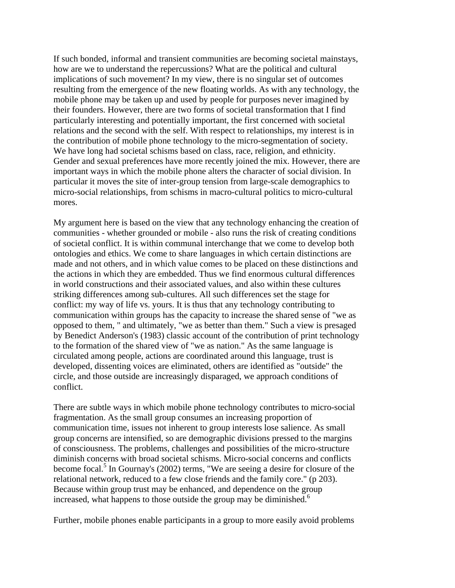If such bonded, informal and transient communities are becoming societal mainstays, how are we to understand the repercussions? What are the political and cultural implications of such movement? In my view, there is no singular set of outcomes resulting from the emergence of the new floating worlds. As with any technology, the mobile phone may be taken up and used by people for purposes never imagined by their founders. However, there are two forms of societal transformation that I find particularly interesting and potentially important, the first concerned with societal relations and the second with the self. With respect to relationships, my interest is in the contribution of mobile phone technology to the micro-segmentation of society. We have long had societal schisms based on class, race, religion, and ethnicity. Gender and sexual preferences have more recently joined the mix. However, there are important ways in which the mobile phone alters the character of social division. In particular it moves the site of inter-group tension from large-scale demographics to micro-social relationships, from schisms in macro-cultural politics to micro-cultural mores.

My argument here is based on the view that any technology enhancing the creation of communities - whether grounded or mobile - also runs the risk of creating conditions of societal conflict. It is within communal interchange that we come to develop both ontologies and ethics. We come to share languages in which certain distinctions are made and not others, and in which value comes to be placed on these distinctions and the actions in which they are embedded. Thus we find enormous cultural differences in world constructions and their associated values, and also within these cultures striking differences among sub-cultures. All such differences set the stage for conflict: my way of life vs. yours. It is thus that any technology contributing to communication within groups has the capacity to increase the shared sense of "we as opposed to them, " and ultimately, "we as better than them." Such a view is presaged by Benedict Anderson's (1983) classic account of the contribution of print technology to the formation of the shared view of "we as nation." As the same language is circulated among people, actions are coordinated around this language, trust is developed, dissenting voices are eliminated, others are identified as "outside" the circle, and those outside are increasingly disparaged, we approach conditions of conflict.

There are subtle ways in which mobile phone technology contributes to micro-social fragmentation. As the small group consumes an increasing proportion of communication time, issues not inherent to group interests lose salience. As small group concerns are intensified, so are demographic divisions pressed to the margins of consciousness. The problems, challenges and possibilities of the micro-structure diminish concerns with broad societal schisms. Micro-social concerns and conflicts become focal.<sup>5</sup> In Gournay's (2002) terms, "We are seeing a desire for closure of the relational network, reduced to a few close friends and the family core." (p 203). Because within group trust may be enhanced, and dependence on the group increased, what happens to those outside the group may be diminished.<sup>6</sup>

Further, mobile phones enable participants in a group to more easily avoid problems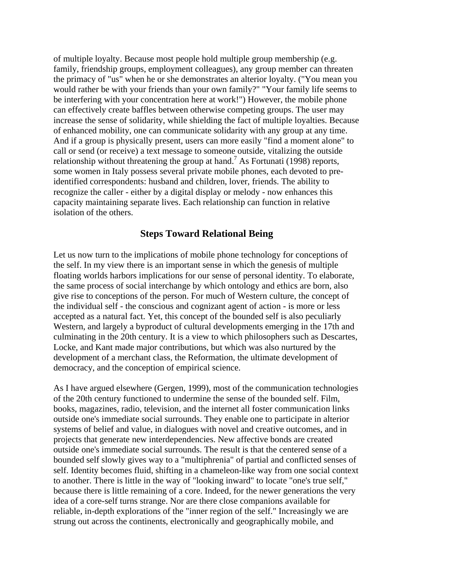of multiple loyalty. Because most people hold multiple group membership (e.g. family, friendship groups, employment colleagues), any group member can threaten the primacy of "us" when he or she demonstrates an alterior loyalty. ("You mean you would rather be with your friends than your own family?" "Your family life seems to be interfering with your concentration here at work!") However, the mobile phone can effectively create baffles between otherwise competing groups. The user may increase the sense of solidarity, while shielding the fact of multiple loyalties. Because of enhanced mobility, one can communicate solidarity with any group at any time. And if a group is physically present, users can more easily "find a moment alone" to call or send (or receive) a text message to someone outside, vitalizing the outside relationship without threatening the group at hand.<sup>7</sup> As Fortunati (1998) reports, some women in Italy possess several private mobile phones, each devoted to preidentified correspondents: husband and children, lover, friends. The ability to recognize the caller - either by a digital display or melody - now enhances this capacity maintaining separate lives. Each relationship can function in relative isolation of the others.

#### **Steps Toward Relational Being**

Let us now turn to the implications of mobile phone technology for conceptions of the self. In my view there is an important sense in which the genesis of multiple floating worlds harbors implications for our sense of personal identity. To elaborate, the same process of social interchange by which ontology and ethics are born, also give rise to conceptions of the person. For much of Western culture, the concept of the individual self - the conscious and cognizant agent of action - is more or less accepted as a natural fact. Yet, this concept of the bounded self is also peculiarly Western, and largely a byproduct of cultural developments emerging in the 17th and culminating in the 20th century. It is a view to which philosophers such as Descartes, Locke, and Kant made major contributions, but which was also nurtured by the development of a merchant class, the Reformation, the ultimate development of democracy, and the conception of empirical science.

As I have argued elsewhere (Gergen, 1999), most of the communication technologies of the 20th century functioned to undermine the sense of the bounded self. Film, books, magazines, radio, television, and the internet all foster communication links outside one's immediate social surrounds. They enable one to participate in alterior systems of belief and value, in dialogues with novel and creative outcomes, and in projects that generate new interdependencies. New affective bonds are created outside one's immediate social surrounds. The result is that the centered sense of a bounded self slowly gives way to a "multiphrenia" of partial and conflicted senses of self. Identity becomes fluid, shifting in a chameleon-like way from one social context to another. There is little in the way of "looking inward" to locate "one's true self," because there is little remaining of a core. Indeed, for the newer generations the very idea of a core-self turns strange. Nor are there close companions available for reliable, in-depth explorations of the "inner region of the self." Increasingly we are strung out across the continents, electronically and geographically mobile, and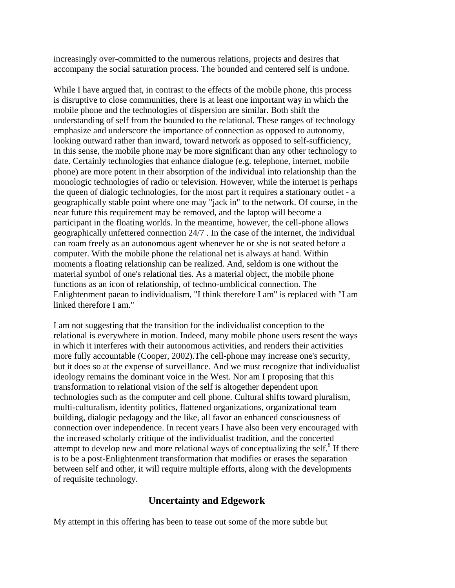increasingly over-committed to the numerous relations, projects and desires that accompany the social saturation process. The bounded and centered self is undone.

While I have argued that, in contrast to the effects of the mobile phone, this process is disruptive to close communities, there is at least one important way in which the mobile phone and the technologies of dispersion are similar. Both shift the understanding of self from the bounded to the relational. These ranges of technology emphasize and underscore the importance of connection as opposed to autonomy, looking outward rather than inward, toward network as opposed to self-sufficiency, In this sense, the mobile phone may be more significant than any other technology to date. Certainly technologies that enhance dialogue (e.g. telephone, internet, mobile phone) are more potent in their absorption of the individual into relationship than the monologic technologies of radio or television. However, while the internet is perhaps the queen of dialogic technologies, for the most part it requires a stationary outlet - a geographically stable point where one may "jack in" to the network. Of course, in the near future this requirement may be removed, and the laptop will become a participant in the floating worlds. In the meantime, however, the cell-phone allows geographically unfettered connection 24/7 . In the case of the internet, the individual can roam freely as an autonomous agent whenever he or she is not seated before a computer. With the mobile phone the relational net is always at hand. Within moments a floating relationship can be realized. And, seldom is one without the material symbol of one's relational ties. As a material object, the mobile phone functions as an icon of relationship, of techno-umblicical connection. The Enlightenment paean to individualism, "I think therefore I am" is replaced with "I am linked therefore I am."

I am not suggesting that the transition for the individualist conception to the relational is everywhere in motion. Indeed, many mobile phone users resent the ways in which it interferes with their autonomous activities, and renders their activities more fully accountable (Cooper, 2002).The cell-phone may increase one's security, but it does so at the expense of surveillance. And we must recognize that individualist ideology remains the dominant voice in the West. Nor am I proposing that this transformation to relational vision of the self is altogether dependent upon technologies such as the computer and cell phone. Cultural shifts toward pluralism, multi-culturalism, identity politics, flattened organizations, organizational team building, dialogic pedagogy and the like, all favor an enhanced consciousness of connection over independence. In recent years I have also been very encouraged with the increased scholarly critique of the individualist tradition, and the concerted attempt to develop new and more relational ways of conceptualizing the self. $8$  If there is to be a post-Enlightenment transformation that modifies or erases the separation between self and other, it will require multiple efforts, along with the developments of requisite technology.

## **Uncertainty and Edgework**

My attempt in this offering has been to tease out some of the more subtle but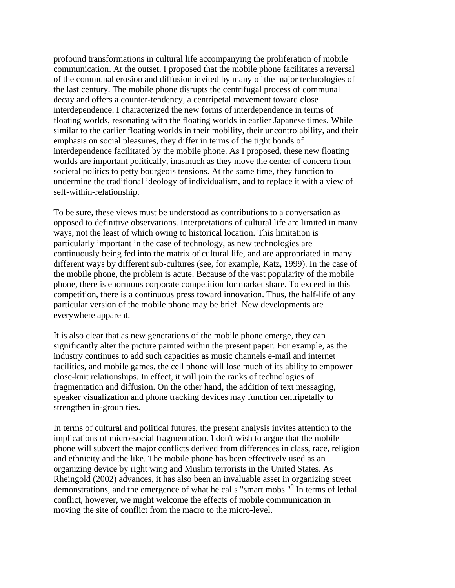profound transformations in cultural life accompanying the proliferation of mobile communication. At the outset, I proposed that the mobile phone facilitates a reversal of the communal erosion and diffusion invited by many of the major technologies of the last century. The mobile phone disrupts the centrifugal process of communal decay and offers a counter-tendency, a centripetal movement toward close interdependence. I characterized the new forms of interdependence in terms of floating worlds, resonating with the floating worlds in earlier Japanese times. While similar to the earlier floating worlds in their mobility, their uncontrolability, and their emphasis on social pleasures, they differ in terms of the tight bonds of interdependence facilitated by the mobile phone. As I proposed, these new floating worlds are important politically, inasmuch as they move the center of concern from societal politics to petty bourgeois tensions. At the same time, they function to undermine the traditional ideology of individualism, and to replace it with a view of self-within-relationship.

To be sure, these views must be understood as contributions to a conversation as opposed to definitive observations. Interpretations of cultural life are limited in many ways, not the least of which owing to historical location. This limitation is particularly important in the case of technology, as new technologies are continuously being fed into the matrix of cultural life, and are appropriated in many different ways by different sub-cultures (see, for example, Katz, 1999). In the case of the mobile phone, the problem is acute. Because of the vast popularity of the mobile phone, there is enormous corporate competition for market share. To exceed in this competition, there is a continuous press toward innovation. Thus, the half-life of any particular version of the mobile phone may be brief. New developments are everywhere apparent.

It is also clear that as new generations of the mobile phone emerge, they can significantly alter the picture painted within the present paper. For example, as the industry continues to add such capacities as music channels e-mail and internet facilities, and mobile games, the cell phone will lose much of its ability to empower close-knit relationships. In effect, it will join the ranks of technologies of fragmentation and diffusion. On the other hand, the addition of text messaging, speaker visualization and phone tracking devices may function centripetally to strengthen in-group ties.

In terms of cultural and political futures, the present analysis invites attention to the implications of micro-social fragmentation. I don't wish to argue that the mobile phone will subvert the major conflicts derived from differences in class, race, religion and ethnicity and the like. The mobile phone has been effectively used as an organizing device by right wing and Muslim terrorists in the United States. As Rheingold (2002) advances, it has also been an invaluable asset in organizing street demonstrations, and the emergence of what he calls "smart mobs."9 In terms of lethal conflict, however, we might welcome the effects of mobile communication in moving the site of conflict from the macro to the micro-level.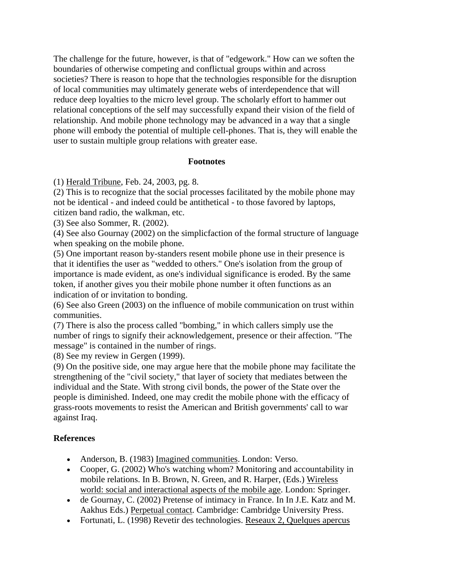The challenge for the future, however, is that of "edgework." How can we soften the boundaries of otherwise competing and conflictual groups within and across societies? There is reason to hope that the technologies responsible for the disruption of local communities may ultimately generate webs of interdependence that will reduce deep loyalties to the micro level group. The scholarly effort to hammer out relational conceptions of the self may successfully expand their vision of the field of relationship. And mobile phone technology may be advanced in a way that a single phone will embody the potential of multiple cell-phones. That is, they will enable the user to sustain multiple group relations with greater ease.

#### **Footnotes**

(1) Herald Tribune, Feb. 24, 2003, pg. 8.

(2) This is to recognize that the social processes facilitated by the mobile phone may not be identical - and indeed could be antithetical - to those favored by laptops, citizen band radio, the walkman, etc.

(3) See also Sommer, R. (2002).

(4) See also Gournay (2002) on the simplicfaction of the formal structure of language when speaking on the mobile phone.

(5) One important reason by-standers resent mobile phone use in their presence is that it identifies the user as "wedded to others." One's isolation from the group of importance is made evident, as one's individual significance is eroded. By the same token, if another gives you their mobile phone number it often functions as an indication of or invitation to bonding.

(6) See also Green (2003) on the influence of mobile communication on trust within communities.

(7) There is also the process called "bombing," in which callers simply use the number of rings to signify their acknowledgement, presence or their affection. "The message" is contained in the number of rings.

(8) See my review in Gergen (1999).

(9) On the positive side, one may argue here that the mobile phone may facilitate the strengthening of the "civil society," that layer of society that mediates between the individual and the State. With strong civil bonds, the power of the State over the people is diminished. Indeed, one may credit the mobile phone with the efficacy of grass-roots movements to resist the American and British governments' call to war against Iraq.

### **References**

- Anderson, B. (1983) Imagined communities. London: Verso.
- Cooper, G. (2002) Who's watching whom? Monitoring and accountability in mobile relations. In B. Brown, N. Green, and R. Harper, (Eds.) Wireless world: social and interactional aspects of the mobile age. London: Springer.
- de Gournay, C. (2002) Pretense of intimacy in France. In In J.E. Katz and M. Aakhus Eds.) Perpetual contact. Cambridge: Cambridge University Press.
- Fortunati, L. (1998) Revetir des technologies. Reseaux 2, Quelques apercus